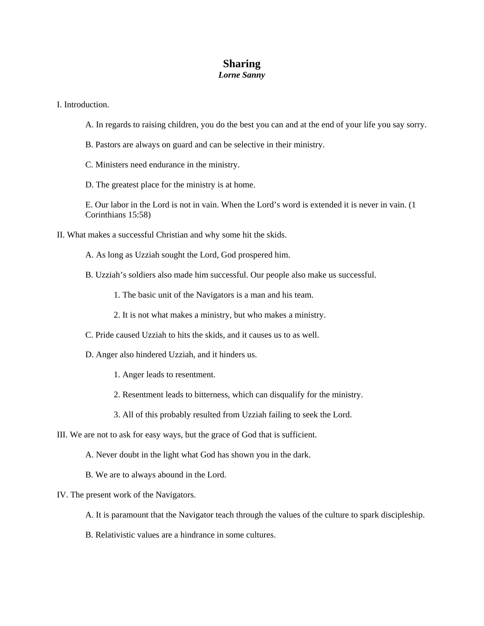## **Sharing**  *Lorne Sanny*

I. Introduction.

- A. In regards to raising children, you do the best you can and at the end of your life you say sorry.
- B. Pastors are always on guard and can be selective in their ministry.
- C. Ministers need endurance in the ministry.
- D. The greatest place for the ministry is at home.
- E. Our labor in the Lord is not in vain. When the Lord's word is extended it is never in vain. (1 Corinthians 15:58)
- II. What makes a successful Christian and why some hit the skids.
	- A. As long as Uzziah sought the Lord, God prospered him.
	- B. Uzziah's soldiers also made him successful. Our people also make us successful.
		- 1. The basic unit of the Navigators is a man and his team.
		- 2. It is not what makes a ministry, but who makes a ministry.
	- C. Pride caused Uzziah to hits the skids, and it causes us to as well.
	- D. Anger also hindered Uzziah, and it hinders us.
		- 1. Anger leads to resentment.
		- 2. Resentment leads to bitterness, which can disqualify for the ministry.
		- 3. All of this probably resulted from Uzziah failing to seek the Lord.
- III. We are not to ask for easy ways, but the grace of God that is sufficient.
	- A. Never doubt in the light what God has shown you in the dark.
	- B. We are to always abound in the Lord.

## IV. The present work of the Navigators.

- A. It is paramount that the Navigator teach through the values of the culture to spark discipleship.
- B. Relativistic values are a hindrance in some cultures.